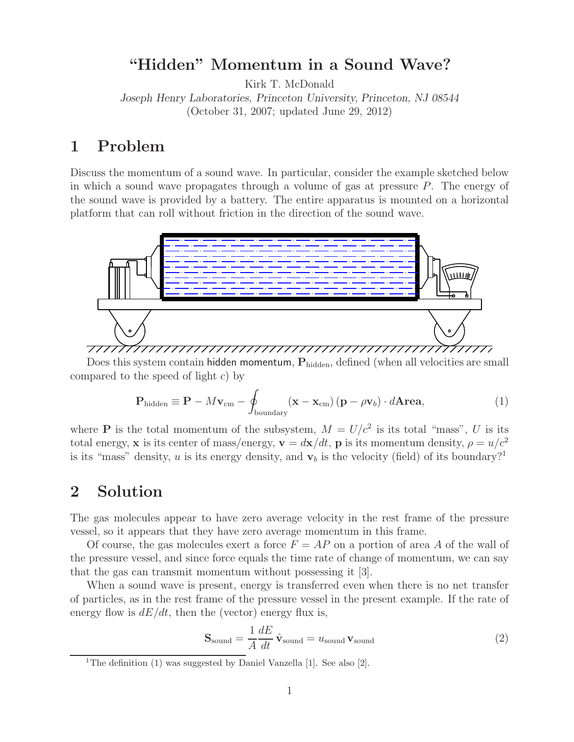### **"Hidden" Momentum in a Sound Wave?**

Kirk T. McDonald

*Joseph Henry Laboratories, Princeton University, Princeton, NJ 08544* (October 31, 2007; updated June 29, 2012)

### **1 Problem**

Discuss the momentum of a sound wave. In particular, consider the example sketched below in which a sound wave propagates through a volume of gas at pressure  $P$ . The energy of the sound wave is provided by a battery. The entire apparatus is mounted on a horizontal platform that can roll without friction in the direction of the sound wave.



Does this system contain hidden momentum,  $P_{hidden}$ , defined (when all velocities are small compared to the speed of light  $c$ ) by

$$
\mathbf{P}_{\text{hidden}} \equiv \mathbf{P} - M\mathbf{v}_{\text{cm}} - \oint_{\text{boundary}} (\mathbf{x} - \mathbf{x}_{\text{cm}}) (\mathbf{p} - \rho \mathbf{v}_b) \cdot d\mathbf{A} \mathbf{rea}, \tag{1}
$$

where **P** is the total momentum of the subsystem,  $M = U/c^2$  is its total "mass", U is its total energy, **x** is its center of mass/energy,  $\mathbf{v} = d\mathbf{x}/dt$ , **p** is its momentum density,  $\rho = u/c^2$ is its "mass" density, u is its energy density, and  $v<sub>b</sub>$  is the velocity (field) of its boundary?<sup>1</sup>

## **2 Solution**

The gas molecules appear to have zero average velocity in the rest frame of the pressure vessel, so it appears that they have zero average momentum in this frame.

Of course, the gas molecules exert a force  $F = AP$  on a portion of area A of the wall of the pressure vessel, and since force equals the time rate of change of momentum, we can say that the gas can transmit momentum without possessing it [3].

When a sound wave is present, energy is transferred even when there is no net transfer of particles, as in the rest frame of the pressure vessel in the present example. If the rate of energy flow is  $dE/dt$ , then the (vector) energy flux is,

$$
\mathbf{S}_{\text{sound}} = \frac{1}{A} \frac{dE}{dt} \hat{\mathbf{v}}_{\text{sound}} = u_{\text{sound}} \mathbf{v}_{\text{sound}}
$$
 (2)

<sup>1</sup>The definition (1) was suggested by Daniel Vanzella [1]. See also [2].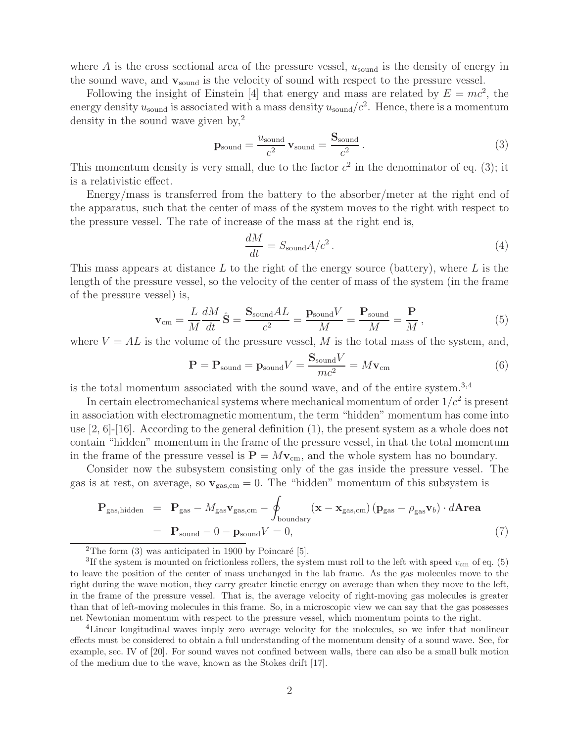where A is the cross sectional area of the pressure vessel,  $u_{\text{sound}}$  is the density of energy in the sound wave, and **v**sound is the velocity of sound with respect to the pressure vessel.

Following the insight of Einstein [4] that energy and mass are related by  $E = mc^2$ , the energy density  $u_{\text{sound}}$  is associated with a mass density  $u_{\text{sound}}/c^2$ . Hence, there is a momentum density in the sound wave given by,  $2^2$ 

$$
\mathbf{p}_{\text{sound}} = \frac{u_{\text{sound}}}{c^2} \mathbf{v}_{\text{sound}} = \frac{\mathbf{S}_{\text{sound}}}{c^2} \,. \tag{3}
$$

This momentum density is very small, due to the factor  $c^2$  in the denominator of eq. (3); it is a relativistic effect.

Energy/mass is transferred from the battery to the absorber/meter at the right end of the apparatus, such that the center of mass of the system moves to the right with respect to the pressure vessel. The rate of increase of the mass at the right end is,

$$
\frac{dM}{dt} = S_{\text{sound}}A/c^2.
$$
 (4)

This mass appears at distance  $L$  to the right of the energy source (battery), where  $L$  is the length of the pressure vessel, so the velocity of the center of mass of the system (in the frame of the pressure vessel) is,

$$
\mathbf{v}_{\rm cm} = \frac{L}{M} \frac{dM}{dt} \hat{\mathbf{S}} = \frac{\mathbf{S}_{\rm sound} AL}{c^2} = \frac{\mathbf{p}_{\rm sound} V}{M} = \frac{\mathbf{P}_{\rm sound}}{M} = \frac{\mathbf{P}}{M},\tag{5}
$$

where  $V = AL$  is the volume of the pressure vessel, M is the total mass of the system, and,

$$
\mathbf{P} = \mathbf{P}_{\text{sound}} = \mathbf{p}_{\text{sound}} V = \frac{\mathbf{S}_{\text{sound}} V}{mc^2} = M \mathbf{v}_{\text{cm}}
$$
(6)

is the total momentum associated with the sound wave, and of the entire system.3,4

In certain electromechanical systems where mechanical momentum of order  $1/c^2$  is present in association with electromagnetic momentum, the term "hidden" momentum has come into use  $[2, 6]$ - $[16]$ . According to the general definition  $(1)$ , the present system as a whole does not contain "hidden" momentum in the frame of the pressure vessel, in that the total momentum in the frame of the pressure vessel is  $\mathbf{P} = M\mathbf{v}_{cm}$ , and the whole system has no boundary.

Consider now the subsystem consisting only of the gas inside the pressure vessel. The gas is at rest, on average, so  $\mathbf{v}_{\text{gas,cm}} = 0$ . The "hidden" momentum of this subsystem is

$$
\mathbf{P}_{\text{gas,hidden}} = \mathbf{P}_{\text{gas}} - M_{\text{gas}} \mathbf{v}_{\text{gas,cm}} - \oint_{\text{boundary}} (\mathbf{x} - \mathbf{x}_{\text{gas,cm}}) (\mathbf{p}_{\text{gas}} - \rho_{\text{gas}} \mathbf{v}_b) \cdot d\mathbf{Area}
$$
  
=  $\mathbf{P}_{\text{sound}} - 0 - \mathbf{p}_{\text{sound}} V = 0,$  (7)

<sup>2</sup>The form  $(3)$  was anticipated in 1900 by Poincaré [5].

<sup>3</sup>If the system is mounted on frictionless rollers, the system must roll to the left with speed  $v_{\rm cm}$  of eq. (5) to leave the position of the center of mass unchanged in the lab frame. As the gas molecules move to the right during the wave motion, they carry greater kinetic energy on average than when they move to the left, in the frame of the pressure vessel. That is, the average velocity of right-moving gas molecules is greater than that of left-moving molecules in this frame. So, in a microscopic view we can say that the gas possesses net Newtonian momentum with respect to the pressure vessel, which momentum points to the right.

<sup>4</sup>Linear longitudinal waves imply zero average velocity for the molecules, so we infer that nonlinear effects must be considered to obtain a full understanding of the momentum density of a sound wave. See, for example, sec. IV of [20]. For sound waves not confined between walls, there can also be a small bulk motion of the medium due to the wave, known as the Stokes drift [17].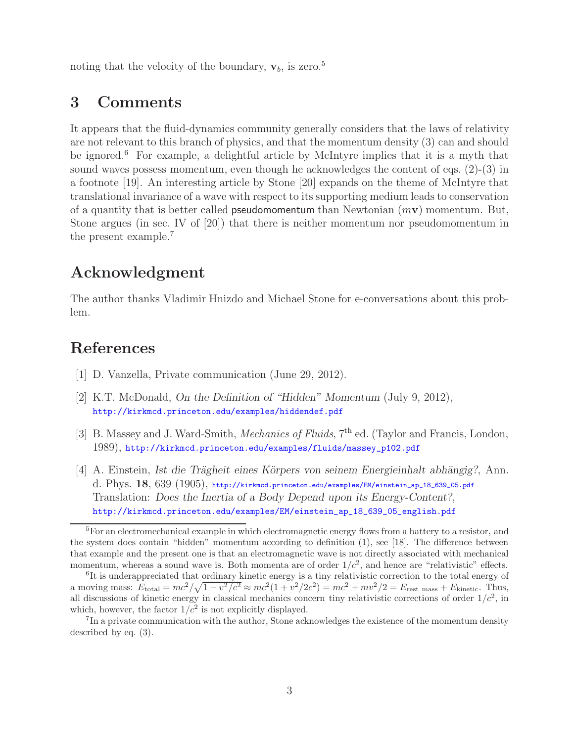noting that the velocity of the boundary,  $\mathbf{v}_b$ , is zero.<sup>5</sup>

#### **3 Comments**

It appears that the fluid-dynamics community generally considers that the laws of relativity are not relevant to this branch of physics, and that the momentum density (3) can and should be ignored.<sup>6</sup> For example, a delightful article by McIntyre implies that it is a myth that sound waves possess momentum, even though he acknowledges the content of eqs. (2)-(3) in a footnote [19]. An interesting article by Stone [20] expands on the theme of McIntyre that translational invariance of a wave with respect to its supporting medium leads to conservation of a quantity that is better called pseudomomentum than Newtonian (m**v**) momentum. But, Stone argues (in sec. IV of [20]) that there is neither momentum nor pseudomomentum in the present example.<sup>7</sup>

# **Acknowledgment**

The author thanks Vladimir Hnizdo and Michael Stone for e-conversations about this problem.

# **References**

- [1] D. Vanzella, Private communication (June 29, 2012).
- [2] K.T. McDonald, *On the Definition of "Hidden" Momentum* (July 9, 2012), http://kirkmcd.princeton.edu/examples/hiddendef.pdf
- [3] B. Massey and J. Ward-Smith, *Mechanics of Fluids*, 7<sup>th</sup> ed. (Taylor and Francis, London, 1989), http://kirkmcd.princeton.edu/examples/fluids/massey\_p102.pdf
- [4] A. Einstein, *Ist die Trägheit eines Körpers von seinem Energieinhalt abhängig?*, Ann. d. Phys. **18**, 639 (1905), http://kirkmcd.princeton.edu/examples/EM/einstein\_ap\_18\_639\_05.pdf Translation: *Does the Inertia of a Body Depend upon its Energy-Content?*, http://kirkmcd.princeton.edu/examples/EM/einstein\_ap\_18\_639\_05\_english.pdf

<sup>5</sup>For an electromechanical example in which electromagnetic energy flows from a battery to a resistor, and the system does contain "hidden" momentum according to definition (1), see [18]. The difference between that example and the present one is that an electromagnetic wave is not directly associated with mechanical momentum, whereas a sound wave is. Both momenta are of order  $1/c^2$ , and hence are "relativistic" effects.

<sup>&</sup>lt;sup>6</sup>It is underappreciated that ordinary kinetic energy is a tiny relativistic correction to the total energy of a moving mass:  $E_{\text{total}} = mc^2 / \sqrt{1 - v^2/c^2} \approx mc^2 (1 + v^2 / 2c^2) = mc^2 + mv^2 / 2 = E_{\text{rest mass}} + E_{\text{kinetic}}.$  Thus, all discussions of kinetic energy in classical mechanics concern tiny relativistic corrections of order  $1/c<sup>2</sup>$ , in which, however, the factor  $1/c^2$  is not explicitly displayed.

<sup>&</sup>lt;sup>7</sup>In a private communication with the author, Stone acknowledges the existence of the momentum density described by eq. (3).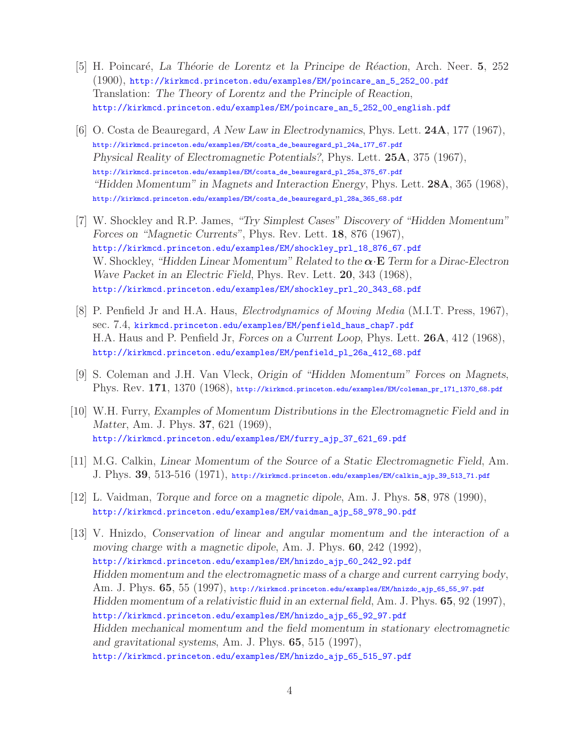- [5] H. Poincar´e, *La Th´eorie de Lorentz et la Principe de R´eaction*, Arch. Neer. **5**, 252 (1900), http://kirkmcd.princeton.edu/examples/EM/poincare\_an\_5\_252\_00.pdf Translation: *The Theory of Lorentz and the Principle of Reaction*, http://kirkmcd.princeton.edu/examples/EM/poincare\_an\_5\_252\_00\_english.pdf
- [6] O. Costa de Beauregard, *A New Law in Electrodynamics*, Phys. Lett. **24A**, 177 (1967), http://kirkmcd.princeton.edu/examples/EM/costa\_de\_beauregard\_pl\_24a\_177\_67.pdf *Physical Reality of Electromagnetic Potentials?*, Phys. Lett. **25A**, 375 (1967), http://kirkmcd.princeton.edu/examples/EM/costa\_de\_beauregard\_pl\_25a\_375\_67.pdf *"Hidden Momentum" in Magnets and Interaction Energy*, Phys. Lett. **28A**, 365 (1968), http://kirkmcd.princeton.edu/examples/EM/costa\_de\_beauregard\_pl\_28a\_365\_68.pdf
- [7] W. Shockley and R.P. James, *"Try Simplest Cases" Discovery of "Hidden Momentum" Forces on "Magnetic Currents"*, Phys. Rev. Lett. **18**, 876 (1967), http://kirkmcd.princeton.edu/examples/EM/shockley\_prl\_18\_876\_67.pdf W. Shockley, *"Hidden Linear Momentum" Related to the α*·**E** *Term for a Dirac-Electron Wave Packet in an Electric Field*, Phys. Rev. Lett. **20**, 343 (1968), http://kirkmcd.princeton.edu/examples/EM/shockley\_prl\_20\_343\_68.pdf
- [8] P. Penfield Jr and H.A. Haus, *Electrodynamics of Moving Media* (M.I.T. Press, 1967), sec. 7.4, kirkmcd.princeton.edu/examples/EM/penfield\_haus\_chap7.pdf H.A. Haus and P. Penfield Jr, *Forces on a Current Loop*, Phys. Lett. **26A**, 412 (1968), http://kirkmcd.princeton.edu/examples/EM/penfield\_pl\_26a\_412\_68.pdf
- [9] S. Coleman and J.H. Van Vleck, *Origin of "Hidden Momentum" Forces on Magnets*, Phys. Rev. **171**, 1370 (1968), http://kirkmcd.princeton.edu/examples/EM/coleman\_pr\_171\_1370\_68.pdf
- [10] W.H. Furry, *Examples of Momentum Distributions in the Electromagnetic Field and in Matter*, Am. J. Phys. **37**, 621 (1969), http://kirkmcd.princeton.edu/examples/EM/furry\_ajp\_37\_621\_69.pdf
- [11] M.G. Calkin, *Linear Momentum of the Source of a Static Electromagnetic Field*, Am. J. Phys. **39**, 513-516 (1971), http://kirkmcd.princeton.edu/examples/EM/calkin\_ajp\_39\_513\_71.pdf
- [12] L. Vaidman, *Torque and force on a magnetic dipole*, Am. J. Phys. **58**, 978 (1990), http://kirkmcd.princeton.edu/examples/EM/vaidman\_ajp\_58\_978\_90.pdf
- [13] V. Hnizdo, *Conservation of linear and angular momentum and the interaction of a moving charge with a magnetic dipole*, Am. J. Phys. **60**, 242 (1992), http://kirkmcd.princeton.edu/examples/EM/hnizdo\_ajp\_60\_242\_92.pdf *Hidden momentum and the electromagnetic mass of a charge and current carrying body*, Am. J. Phys. **65**, 55 (1997), http://kirkmcd.princeton.edu/examples/EM/hnizdo\_ajp\_65\_55\_97.pdf *Hidden momentum of a relativistic fluid in an external field*, Am. J. Phys. **65**, 92 (1997), http://kirkmcd.princeton.edu/examples/EM/hnizdo\_ajp\_65\_92\_97.pdf *Hidden mechanical momentum and the field momentum in stationary electromagnetic and gravitational systems*, Am. J. Phys. **65**, 515 (1997), http://kirkmcd.princeton.edu/examples/EM/hnizdo\_ajp\_65\_515\_97.pdf